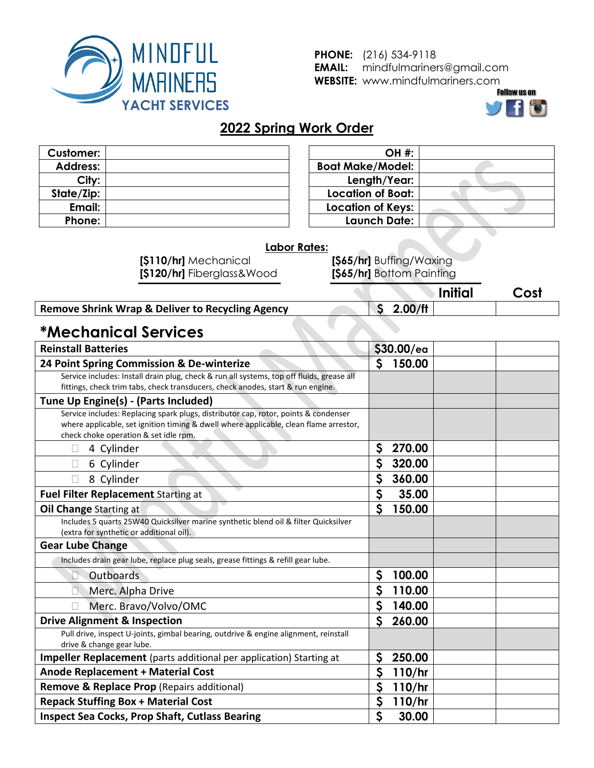

**PHONE:** (216) 534-9118 **EMAIL:** mindfulmariners@gmail.com **WEBSITE:** www.mindfulmariners.com



**Initial Cost**

### **2022 Spring Work Order**

| <b>Customer:</b> |  |
|------------------|--|
| <b>Address:</b>  |  |
| City:            |  |
| State/Zip:       |  |
| Email:           |  |
| Phone:           |  |

| <b>OH #:</b>             |  |
|--------------------------|--|
| <b>Boat Make/Model:</b>  |  |
| Length/Year:             |  |
| Location of Boat:        |  |
| <b>Location of Keys:</b> |  |
| Launch Date:             |  |

#### **Labor Rates:**

**[\$110/hr]** Mechanical **[\$120/hr]** Fiberglass&Wood

**[\$65/hr]** Buffing/Waxing **[\$65/hr]** Bottom Painting

#### **Remove Shrink Wrap & Deliver to Recycling Agency \$ 2.00/ft**

## **\*Mechanical Services**

| <b>Reinstall Batteries</b>                                                                |                  | \$30.00/ea |  |
|-------------------------------------------------------------------------------------------|------------------|------------|--|
| 24 Point Spring Commission & De-winterize                                                 | $\mathsf{S}$     | 150.00     |  |
| Service includes: Install drain plug, check & run all systems, top off fluids, grease all |                  |            |  |
| fittings, check trim tabs, check transducers, check anodes, start & run engine.           |                  |            |  |
| Tune Up Engine(s) - (Parts Included)                                                      |                  |            |  |
| Service includes: Replacing spark plugs, distributor cap, rotor, points & condenser       |                  |            |  |
| where applicable, set ignition timing & dwell where applicable, clean flame arrestor,     |                  |            |  |
| check choke operation & set idle rpm.                                                     |                  |            |  |
| 4 Cylinder                                                                                | \$               | 270.00     |  |
| 6 Cylinder                                                                                | \$               | 320.00     |  |
| 8 Cylinder                                                                                | \$               | 360.00     |  |
| Fuel Filter Replacement Starting at                                                       | \$               | 35.00      |  |
| Oil Change Starting at                                                                    | $\mathsf{S}$     | 150.00     |  |
| Includes 5 quarts 25W40 Quicksilver marine synthetic blend oil & filter Quicksilver       |                  |            |  |
| (extra for synthetic or additional oil).                                                  |                  |            |  |
| <b>Gear Lube Change</b>                                                                   |                  |            |  |
| Includes drain gear lube, replace plug seals, grease fittings & refill gear lube.         |                  |            |  |
| Outboards                                                                                 | \$               | 100.00     |  |
| Merc. Alpha Drive                                                                         | $\mathsf{S}$     | 110.00     |  |
| Merc. Bravo/Volvo/OMC                                                                     | \$               | 140.00     |  |
| <b>Drive Alignment &amp; Inspection</b>                                                   | $\mathsf{S}$     | 260.00     |  |
| Pull drive, inspect U-joints, gimbal bearing, outdrive & engine alignment, reinstall      |                  |            |  |
| drive & change gear lube.                                                                 |                  |            |  |
| Impeller Replacement (parts additional per application) Starting at                       | \$               | 250.00     |  |
| <b>Anode Replacement + Material Cost</b>                                                  |                  | 110/hr     |  |
| <b>Remove &amp; Replace Prop (Repairs additional)</b>                                     |                  | 110/hr     |  |
| <b>Repack Stuffing Box + Material Cost</b>                                                |                  | 110/hr     |  |
| <b>Inspect Sea Cocks, Prop Shaft, Cutlass Bearing</b>                                     | $\boldsymbol{S}$ | 30.00      |  |